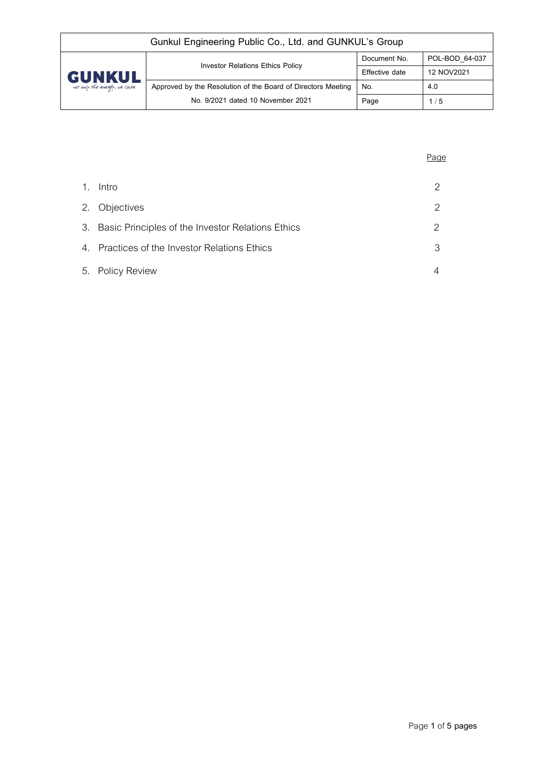| Gunkul Engineering Public Co., Ltd. and GUNKUL's Group |                                                              |                |                |  |
|--------------------------------------------------------|--------------------------------------------------------------|----------------|----------------|--|
| <b>GUNKUL</b><br>not only the energy, we care          | <b>Investor Relations Ethics Policy</b>                      | Document No.   | POL-BOD 64-037 |  |
|                                                        |                                                              | Effective date | 12 NOV2021     |  |
|                                                        | Approved by the Resolution of the Board of Directors Meeting | No.            | 4.0            |  |
|                                                        | No. 9/2021 dated 10 November 2021                            | Page           | 1/5            |  |

| 1. | Intro                                                | 2             |
|----|------------------------------------------------------|---------------|
|    | 2. Objectives                                        | 2             |
|    | 3. Basic Principles of the Investor Relations Ethics | $\mathcal{P}$ |
|    | 4. Practices of the Investor Relations Ethics        | 3             |
|    | 5. Policy Review                                     |               |

Page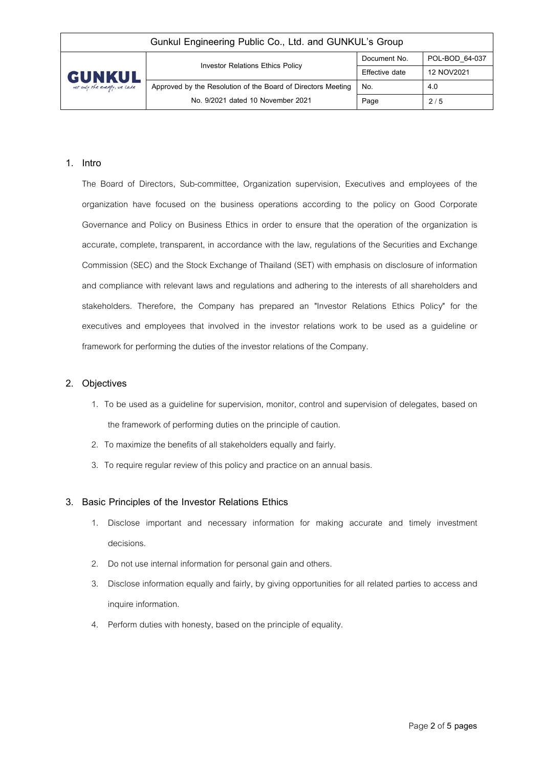| Gunkul Engineering Public Co., Ltd. and GUNKUL's Group |                                                              |                |                |  |
|--------------------------------------------------------|--------------------------------------------------------------|----------------|----------------|--|
| <b>GUNKUL</b><br>not only the energy, we care          | <b>Investor Relations Ethics Policy</b>                      | Document No.   | POL-BOD 64-037 |  |
|                                                        |                                                              | Effective date | 12 NOV2021     |  |
|                                                        | Approved by the Resolution of the Board of Directors Meeting | No.            | 4.0            |  |
|                                                        | No. 9/2021 dated 10 November 2021                            | Page           | 2/5            |  |

#### **1. Intro**

The Board of Directors, Sub-committee, Organization supervision, Executives and employees of the organization have focused on the business operations according to the policy on Good Corporate Governance and Policy on Business Ethics in order to ensure that the operation of the organization is accurate, complete, transparent, in accordance with the law, regulations of the Securities and Exchange Commission (SEC) and the Stock Exchange of Thailand (SET) with emphasis on disclosure of information and compliance with relevant laws and regulations and adhering to the interests of all shareholders and stakeholders. Therefore, the Company has prepared an "Investor Relations Ethics Policy" for the executives and employees that involved in the investor relations work to be used as a guideline or framework for performing the duties of the investor relations of the Company.

#### **2. Objectives**

- 1. To be used as a guideline for supervision, monitor, control and supervision of delegates, based on the framework of performing duties on the principle of caution.
- 2. To maximize the benefits of all stakeholders equally and fairly.
- 3. To require regular review of this policy and practice on an annual basis.

### **3. Basic Principles of the Investor Relations Ethics**

- 1. Disclose important and necessary information for making accurate and timely investment decisions.
- 2. Do not use internal information for personal gain and others.
- 3. Disclose information equally and fairly, by giving opportunities for all related parties to access and inquire information.
- 4. Perform duties with honesty, based on the principle of equality.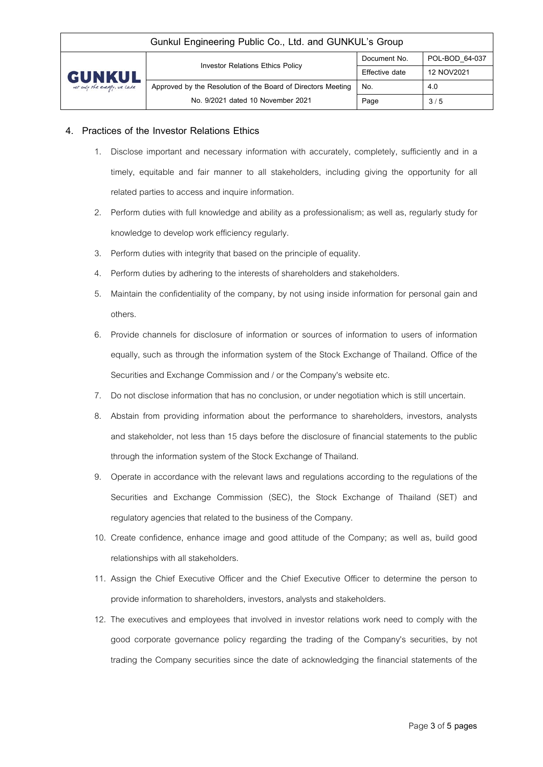| Gunkul Engineering Public Co., Ltd. and GUNKUL's Group |                                                              |                |                |  |
|--------------------------------------------------------|--------------------------------------------------------------|----------------|----------------|--|
| <b>GUNKUL</b><br>not only the energy, we care          | <b>Investor Relations Ethics Policy</b>                      | Document No.   | POL-BOD 64-037 |  |
|                                                        |                                                              | Effective date | 12 NOV2021     |  |
|                                                        | Approved by the Resolution of the Board of Directors Meeting | No.            | 4.0            |  |
|                                                        | No. 9/2021 dated 10 November 2021                            | Page           | 3/5            |  |

## **4. Practices of the Investor Relations Ethics**

- 1. Disclose important and necessary information with accurately, completely, sufficiently and in a timely, equitable and fair manner to all stakeholders, including giving the opportunity for all related parties to access and inquire information.
- 2. Perform duties with full knowledge and ability as a professionalism; as well as, regularly study for knowledge to develop work efficiency regularly.
- 3. Perform duties with integrity that based on the principle of equality.
- 4. Perform duties by adhering to the interests of shareholders and stakeholders.
- 5. Maintain the confidentiality of the company, by not using inside information for personal gain and others.
- 6. Provide channels for disclosure of information or sources of information to users of information equally, such as through the information system of the Stock Exchange of Thailand. Office of the Securities and Exchange Commission and / or the Company's website etc.
- 7. Do not disclose information that has no conclusion, or under negotiation which is still uncertain.
- 8. Abstain from providing information about the performance to shareholders, investors, analysts and stakeholder, not less than 15 days before the disclosure of financial statements to the public through the information system of the Stock Exchange of Thailand.
- 9. Operate in accordance with the relevant laws and regulations according to the regulations of the Securities and Exchange Commission (SEC), the Stock Exchange of Thailand (SET) and regulatory agencies that related to the business of the Company.
- 10. Create confidence, enhance image and good attitude of the Company; as well as, build good relationships with all stakeholders.
- 11. Assign the Chief Executive Officer and the Chief Executive Officer to determine the person to provide information to shareholders, investors, analysts and stakeholders.
- 12. The executives and employees that involved in investor relations work need to comply with the good corporate governance policy regarding the trading of the Company's securities, by not trading the Company securities since the date of acknowledging the financial statements of the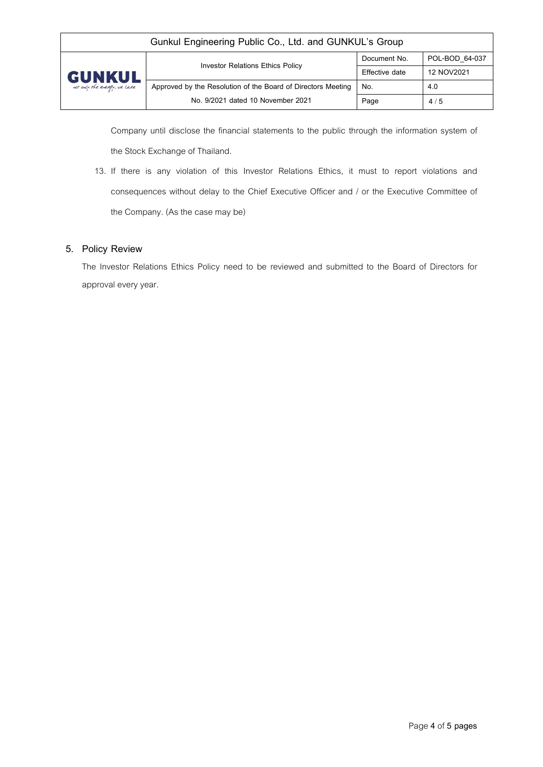| Gunkul Engineering Public Co., Ltd. and GUNKUL's Group |                                                              |                |                |  |
|--------------------------------------------------------|--------------------------------------------------------------|----------------|----------------|--|
| <b>GUNKUL</b><br>not only the energy, we care          | <b>Investor Relations Ethics Policy</b>                      | Document No.   | POL-BOD 64-037 |  |
|                                                        |                                                              | Effective date | 12 NOV2021     |  |
|                                                        | Approved by the Resolution of the Board of Directors Meeting | No.            | 4.0            |  |
|                                                        | No. 9/2021 dated 10 November 2021                            | Page           | 4/5            |  |

Company until disclose the financial statements to the public through the information system of the Stock Exchange of Thailand.

13. If there is any violation of this Investor Relations Ethics, it must to report violations and consequences without delay to the Chief Executive Officer and / or the Executive Committee of the Company. (As the case may be)

# **5. Policy Review**

The Investor Relations Ethics Policy need to be reviewed and submitted to the Board of Directors for approval every year.